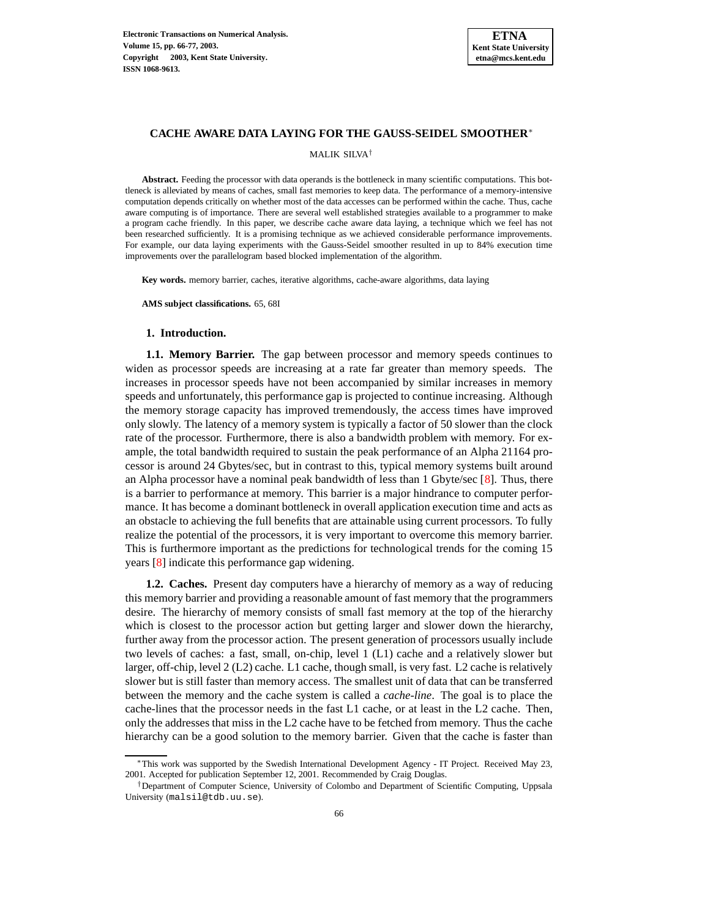

## **CACHE AWARE DATA LAYING FOR THE GAUSS-SEIDEL SMOOTHER**<sup>∗</sup>

MALIK SILVA †

**Abstract.** Feeding the processor with data operands is the bottleneck in many scientific computations. This bottleneck is alleviated by means of caches, small fast memories to keep data. The performance of a memory-intensive computation depends critically on whether most of the data accesses can be performed within the cache. Thus, cache aware computing is of importance. There are several well established strategies available to a programmer to make a program cache friendly. In this paper, we describe cache aware data laying, a technique which we feel has not been researched sufficiently. It is a promising technique as we achieved considerable performance improvements. For example, our data laying experiments with the Gauss-Seidel smoother resulted in up to 84% execution time improvements over the parallelogram based blocked implementation of the algorithm.

**Key words.** memory barrier, caches, iterative algorithms, cache-aware algorithms, data laying

**AMS subject classifications.** 65, 68I

## **1. Introduction.**

**1.1. Memory Barrier.** The gap between processor and memory speeds continues to widen as processor speeds are increasing at a rate far greater than memory speeds. The increases in processor speeds have not been accompanied by similar increases in memory speeds and unfortunately, this performance gap is projected to continue increasing. Although the memory storage capacity has improved tremendously, the access times have improved only slowly. The latency of a memory system is typically a factor of 50 slower than the clock rate of the processor. Furthermore, there is also a bandwidth problem with memory. For example, the total bandwidth required to sustain the peak performance of an Alpha 21164 processor is around 24 Gbytes/sec, but in contrast to this, typical memory systems built around an Alpha processor have a nominal peak bandwidth of less than 1 Gbyte/sec [\[8\]](#page-11-0). Thus, there is a barrier to performance at memory. This barrier is a major hindrance to computer performance. It has become a dominant bottleneck in overall application execution time and acts as an obstacle to achieving the full benefits that are attainable using current processors. To fully realize the potential of the processors, it is very important to overcome this memory barrier. This is furthermore important as the predictions for technological trends for the coming 15 years [\[8\]](#page-11-0) indicate this performance gap widening.

**1.2. Caches.** Present day computers have a hierarchy of memory as a way of reducing this memory barrier and providing a reasonable amount of fast memory that the programmers desire. The hierarchy of memory consists of small fast memory at the top of the hierarchy which is closest to the processor action but getting larger and slower down the hierarchy, further away from the processor action. The present generation of processors usually include two levels of caches: a fast, small, on-chip, level 1 (L1) cache and a relatively slower but larger, off-chip, level 2 (L2) cache. L1 cache, though small, is very fast. L2 cache is relatively slower but is still faster than memory access. The smallest unit of data that can be transferred between the memory and the cache system is called a *cache-line*. The goal is to place the cache-lines that the processor needs in the fast L1 cache, or at least in the L2 cache. Then, only the addresses that miss in the L2 cache have to be fetched from memory. Thus the cache hierarchy can be a good solution to the memory barrier. Given that the cache is faster than

<sup>∗</sup>This work was supported by the Swedish International Development Agency - IT Project. Received May 23, 2001. Accepted for publication September 12, 2001. Recommended by Craig Douglas.

<sup>†</sup>Department of Computer Science, University of Colombo and Department of Scientific Computing, Uppsala University (malsil@tdb.uu.se).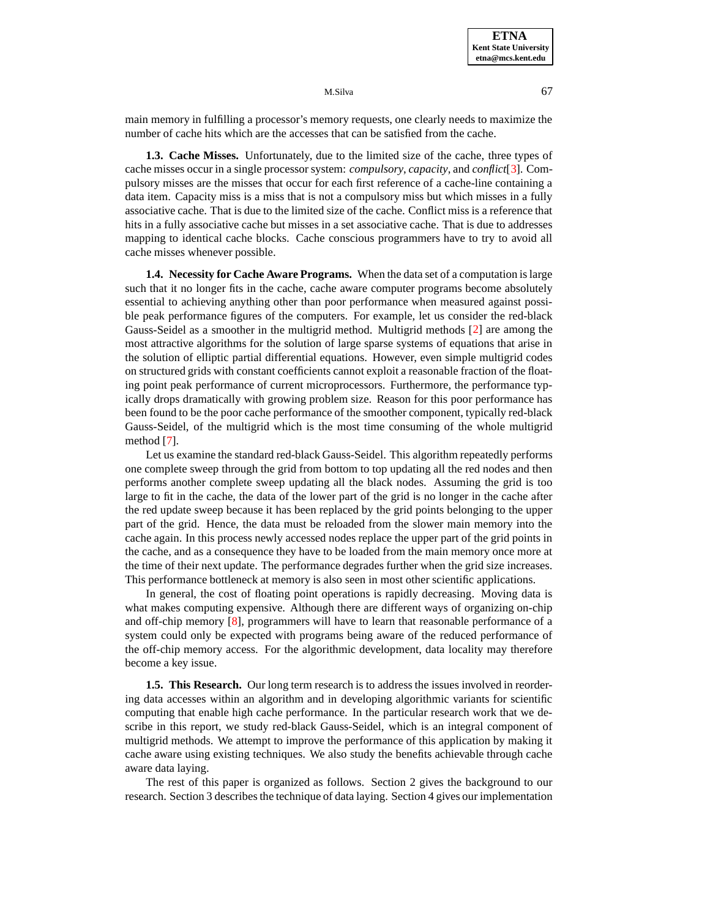M.Silva 67

main memory in fulfilling a processor's memory requests, one clearly needs to maximize the number of cache hits which are the accesses that can be satisfied from the cache.

**1.3. Cache Misses.** Unfortunately, due to the limited size of the cache, three types of cache misses occur in a single processor system: *compulsory*, *capacity*, and *conflict*[\[3\]](#page-11-1). Compulsory misses are the misses that occur for each first reference of a cache-line containing a data item. Capacity miss is a miss that is not a compulsory miss but which misses in a fully associative cache. That is due to the limited size of the cache. Conflict miss is a reference that hits in a fully associative cache but misses in a set associative cache. That is due to addresses mapping to identical cache blocks. Cache conscious programmers have to try to avoid all cache misses whenever possible.

**1.4. Necessity for Cache Aware Programs.** When the data set of a computation is large such that it no longer fits in the cache, cache aware computer programs become absolutely essential to achieving anything other than poor performance when measured against possible peak performance figures of the computers. For example, let us consider the red-black Gauss-Seidel as a smoother in the multigrid method. Multigrid methods [\[2\]](#page-11-2) are among the most attractive algorithms for the solution of large sparse systems of equations that arise in the solution of elliptic partial differential equations. However, even simple multigrid codes on structured grids with constant coefficients cannot exploit a reasonable fraction of the floating point peak performance of current microprocessors. Furthermore, the performance typically drops dramatically with growing problem size. Reason for this poor performance has been found to be the poor cache performance of the smoother component, typically red-black Gauss-Seidel, of the multigrid which is the most time consuming of the whole multigrid method [\[7\]](#page-11-3).

Let us examine the standard red-black Gauss-Seidel. This algorithm repeatedly performs one complete sweep through the grid from bottom to top updating all the red nodes and then performs another complete sweep updating all the black nodes. Assuming the grid is too large to fit in the cache, the data of the lower part of the grid is no longer in the cache after the red update sweep because it has been replaced by the grid points belonging to the upper part of the grid. Hence, the data must be reloaded from the slower main memory into the cache again. In this process newly accessed nodes replace the upper part of the grid points in the cache, and as a consequence they have to be loaded from the main memory once more at the time of their next update. The performance degrades further when the grid size increases. This performance bottleneck at memory is also seen in most other scientific applications.

In general, the cost of floating point operations is rapidly decreasing. Moving data is what makes computing expensive. Although there are different ways of organizing on-chip and off-chip memory [\[8\]](#page-11-0), programmers will have to learn that reasonable performance of a system could only be expected with programs being aware of the reduced performance of the off-chip memory access. For the algorithmic development, data locality may therefore become a key issue.

**1.5. This Research.** Our long term research is to address the issues involved in reordering data accesses within an algorithm and in developing algorithmic variants for scientific computing that enable high cache performance. In the particular research work that we describe in this report, we study red-black Gauss-Seidel, which is an integral component of multigrid methods. We attempt to improve the performance of this application by making it cache aware using existing techniques. We also study the benefits achievable through cache aware data laying.

The rest of this paper is organized as follows. Section 2 gives the background to our research. Section 3 describes the technique of data laying. Section 4 gives our implementation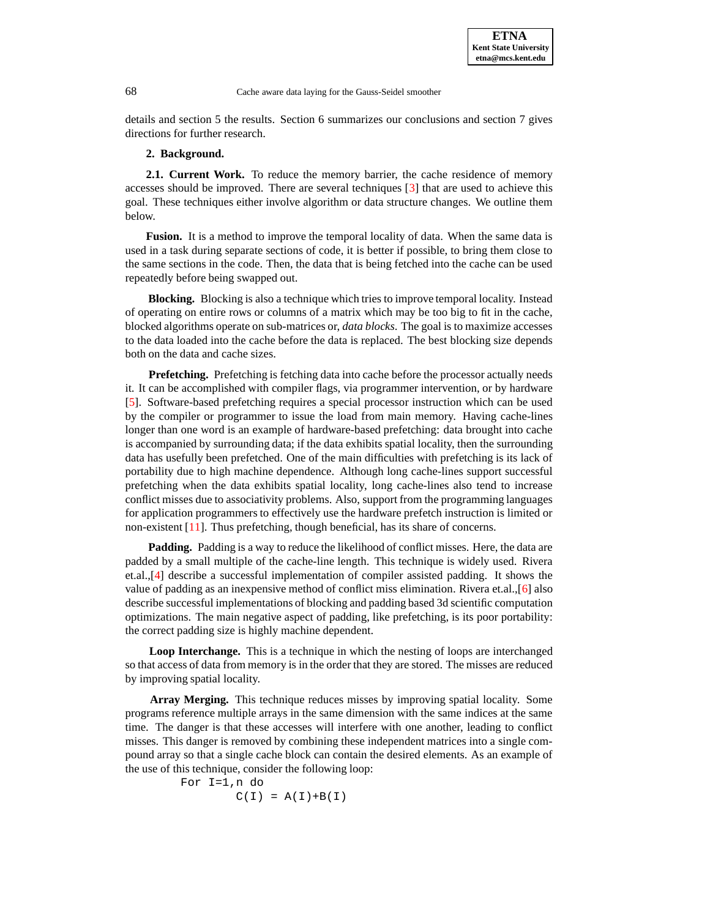details and section 5 the results. Section 6 summarizes our conclusions and section 7 gives directions for further research.

# **2. Background.**

**2.1. Current Work.** To reduce the memory barrier, the cache residence of memory accesses should be improved. There are several techniques [\[3\]](#page-11-1) that are used to achieve this goal. These techniques either involve algorithm or data structure changes. We outline them below.

**Fusion.** It is a method to improve the temporal locality of data. When the same data is used in a task during separate sections of code, it is better if possible, to bring them close to the same sections in the code. Then, the data that is being fetched into the cache can be used repeatedly before being swapped out.

**Blocking.** Blocking is also a technique which tries to improve temporal locality. Instead of operating on entire rows or columns of a matrix which may be too big to fit in the cache, blocked algorithms operate on sub-matrices or, *data blocks*. The goal is to maximize accesses to the data loaded into the cache before the data is replaced. The best blocking size depends both on the data and cache sizes.

**Prefetching.** Prefetching is fetching data into cache before the processor actually needs it. It can be accomplished with compiler flags, via programmer intervention, or by hardware [\[5\]](#page-11-4). Software-based prefetching requires a special processor instruction which can be used by the compiler or programmer to issue the load from main memory. Having cache-lines longer than one word is an example of hardware-based prefetching: data brought into cache is accompanied by surrounding data; if the data exhibits spatial locality, then the surrounding data has usefully been prefetched. One of the main difficulties with prefetching is its lack of portability due to high machine dependence. Although long cache-lines support successful prefetching when the data exhibits spatial locality, long cache-lines also tend to increase conflict misses due to associativity problems. Also, support from the programming languages for application programmers to effectively use the hardware prefetch instruction is limited or non-existent [\[11\]](#page-11-5). Thus prefetching, though beneficial, has its share of concerns.

**Padding.** Padding is a way to reduce the likelihood of conflict misses. Here, the data are padded by a small multiple of the cache-line length. This technique is widely used. Rivera et.al.,[\[4\]](#page-11-6) describe a successful implementation of compiler assisted padding. It shows the value of padding as an inexpensive method of conflict miss elimination. Rivera et.al.,[\[6\]](#page-11-7) also describe successful implementations of blocking and padding based 3d scientific computation optimizations. The main negative aspect of padding, like prefetching, is its poor portability: the correct padding size is highly machine dependent.

**Loop Interchange.** This is a technique in which the nesting of loops are interchanged so that access of data from memory is in the order that they are stored. The misses are reduced by improving spatial locality.

**Array Merging.** This technique reduces misses by improving spatial locality. Some programs reference multiple arrays in the same dimension with the same indices at the same time. The danger is that these accesses will interfere with one another, leading to conflict misses. This danger is removed by combining these independent matrices into a single compound array so that a single cache block can contain the desired elements. As an example of the use of this technique, consider the following loop:

For I=1,n do  $C(I) = A(I) + B(I)$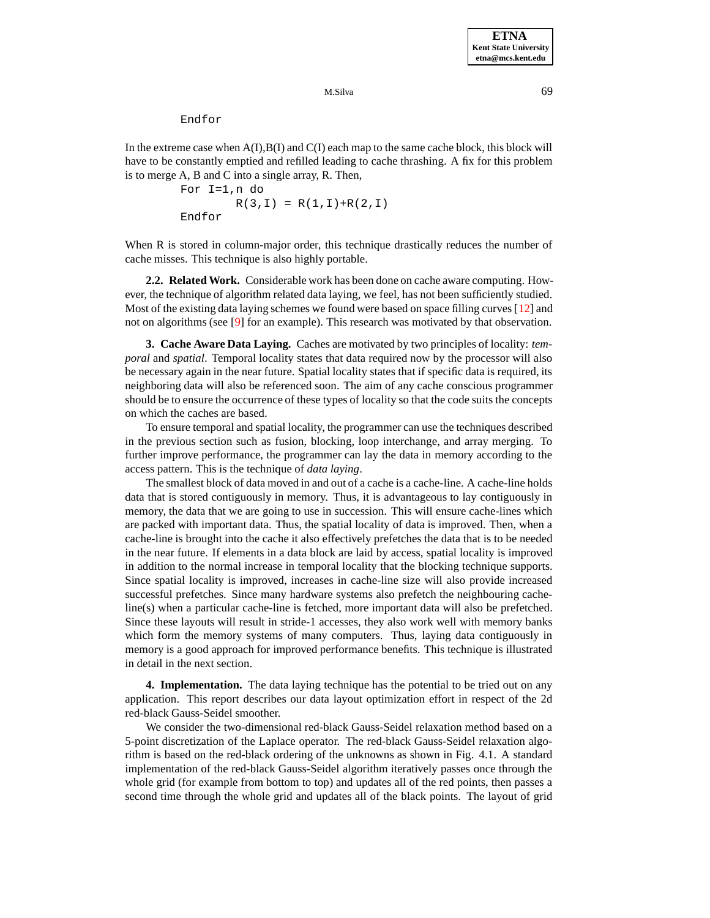Endfor

In the extreme case when  $A(I),B(I)$  and  $C(I)$  each map to the same cache block, this block will have to be constantly emptied and refilled leading to cache thrashing. A fix for this problem is to merge A, B and C into a single array, R. Then,

> For I=1,n do  $R(3,I) = R(1,I)+R(2,I)$ Endfor

When R is stored in column-major order, this technique drastically reduces the number of cache misses. This technique is also highly portable.

**2.2. Related Work.** Considerable work has been done on cache aware computing. However, the technique of algorithm related data laying, we feel, has not been sufficiently studied. Most of the existing data laying schemes we found were based on space filling curves  $[12]$  and not on algorithms (see [\[9\]](#page-11-9) for an example). This research was motivated by that observation.

**3. Cache Aware Data Laying.** Caches are motivated by two principles of locality: *temporal* and *spatial*. Temporal locality states that data required now by the processor will also be necessary again in the near future. Spatial locality states that if specific data is required, its neighboring data will also be referenced soon. The aim of any cache conscious programmer should be to ensure the occurrence of these types of locality so that the code suits the concepts on which the caches are based.

To ensure temporal and spatial locality, the programmer can use the techniques described in the previous section such as fusion, blocking, loop interchange, and array merging. To further improve performance, the programmer can lay the data in memory according to the access pattern. This is the technique of *data laying*.

The smallest block of data moved in and out of a cache is a cache-line. A cache-line holds data that is stored contiguously in memory. Thus, it is advantageous to lay contiguously in memory, the data that we are going to use in succession. This will ensure cache-lines which are packed with important data. Thus, the spatial locality of data is improved. Then, when a cache-line is brought into the cache it also effectively prefetches the data that is to be needed in the near future. If elements in a data block are laid by access, spatial locality is improved in addition to the normal increase in temporal locality that the blocking technique supports. Since spatial locality is improved, increases in cache-line size will also provide increased successful prefetches. Since many hardware systems also prefetch the neighbouring cacheline(s) when a particular cache-line is fetched, more important data will also be prefetched. Since these layouts will result in stride-1 accesses, they also work well with memory banks which form the memory systems of many computers. Thus, laying data contiguously in memory is a good approach for improved performance benefits. This technique is illustrated in detail in the next section.

**4. Implementation.** The data laying technique has the potential to be tried out on any application. This report describes our data layout optimization effort in respect of the 2d red-black Gauss-Seidel smoother.

We consider the two-dimensional red-black Gauss-Seidel relaxation method based on a 5-point discretization of the Laplace operator. The red-black Gauss-Seidel relaxation algorithm is based on the red-black ordering of the unknowns as shown in Fig. 4.1. A standard implementation of the red-black Gauss-Seidel algorithm iteratively passes once through the whole grid (for example from bottom to top) and updates all of the red points, then passes a second time through the whole grid and updates all of the black points. The layout of grid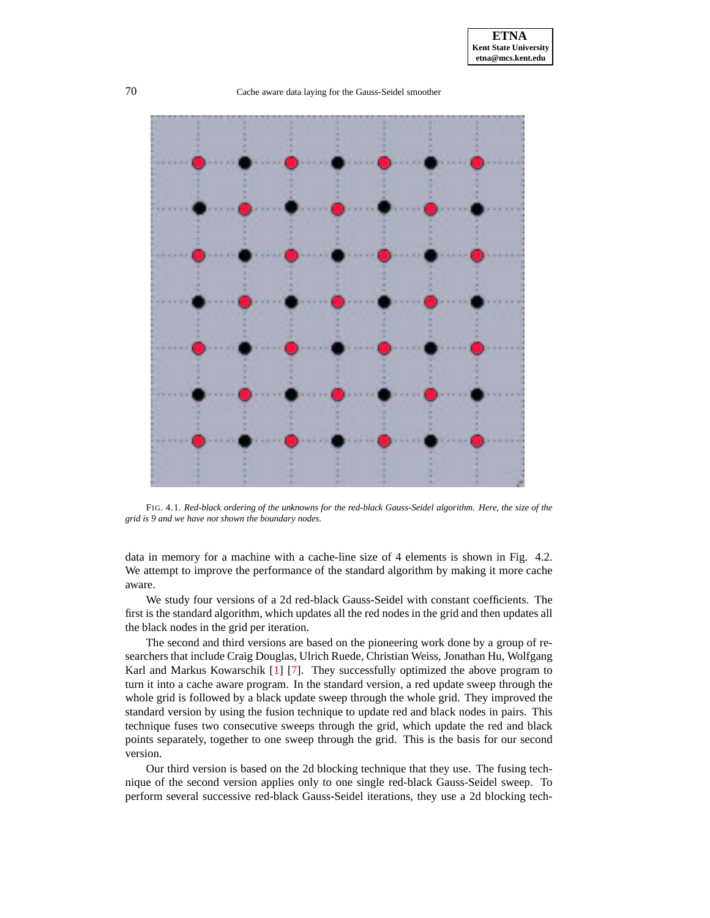

FIG. 4.1. *Red-black ordering of the unknowns for the red-black Gauss-Seidel algorithm. Here, the size of the grid is 9 and we have not shown the boundary nodes.*

data in memory for a machine with a cache-line size of 4 elements is shown in Fig. 4.2. We attempt to improve the performance of the standard algorithm by making it more cache aware.

We study four versions of a 2d red-black Gauss-Seidel with constant coefficients. The first is the standard algorithm, which updates all the red nodes in the grid and then updates all the black nodes in the grid per iteration.

The second and third versions are based on the pioneering work done by a group of researchers that include Craig Douglas, Ulrich Ruede, Christian Weiss, Jonathan Hu, Wolfgang Karl and Markus Kowarschik [\[1\]](#page-11-10) [\[7\]](#page-11-3). They successfully optimized the above program to turn it into a cache aware program. In the standard version, a red update sweep through the whole grid is followed by a black update sweep through the whole grid. They improved the standard version by using the fusion technique to update red and black nodes in pairs. This technique fuses two consecutive sweeps through the grid, which update the red and black points separately, together to one sweep through the grid. This is the basis for our second version.

Our third version is based on the 2d blocking technique that they use. The fusing technique of the second version applies only to one single red-black Gauss-Seidel sweep. To perform several successive red-black Gauss-Seidel iterations, they use a 2d blocking tech-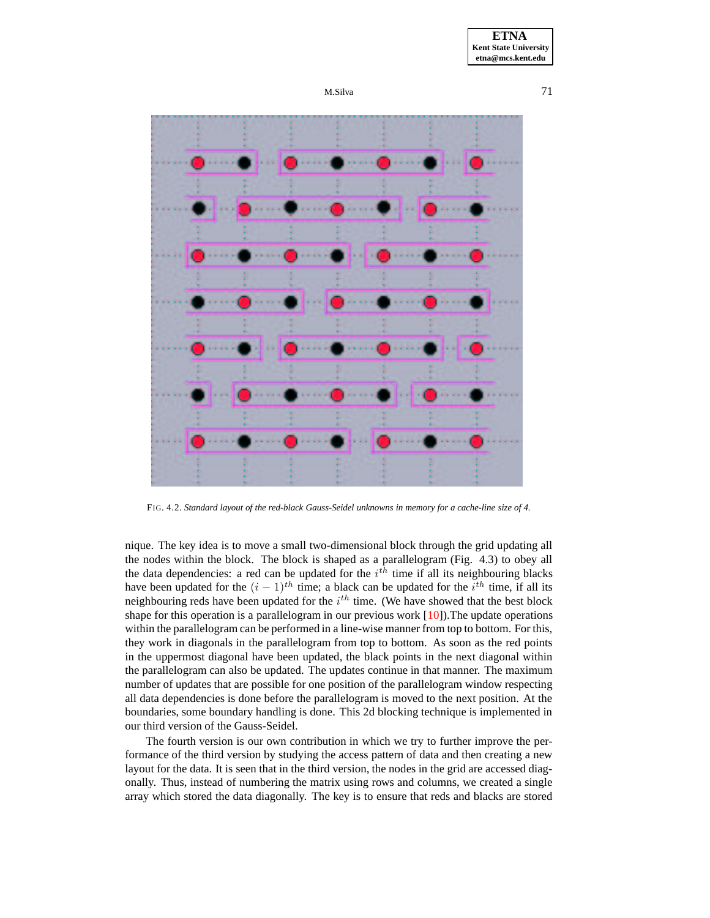



FIG. 4.2. *Standard layout of the red-black Gauss-Seidel unknowns in memory for a cache-line size of 4.*

nique. The key idea is to move a small two-dimensional block through the grid updating all the nodes within the block. The block is shaped as a parallelogram (Fig. 4.3) to obey all the data dependencies: a red can be updated for the  $i^{th}$  time if all its neighbouring blacks have been updated for the  $(i - 1)^{th}$  time; a black can be updated for the  $i^{th}$  time, if all its neighbouring reds have been updated for the  $i^{th}$  time. (We have showed that the best block shape for this operation is a parallelogram in our previous work  $[10]$ ). The update operations within the parallelogram can be performed in a line-wise manner from top to bottom. For this, they work in diagonals in the parallelogram from top to bottom. As soon as the red points in the uppermost diagonal have been updated, the black points in the next diagonal within the parallelogram can also be updated. The updates continue in that manner. The maximum number of updates that are possible for one position of the parallelogram window respecting all data dependencies is done before the parallelogram is moved to the next position. At the boundaries, some boundary handling is done. This 2d blocking technique is implemented in our third version of the Gauss-Seidel.

The fourth version is our own contribution in which we try to further improve the performance of the third version by studying the access pattern of data and then creating a new layout for the data. It is seen that in the third version, the nodes in the grid are accessed diagonally. Thus, instead of numbering the matrix using rows and columns, we created a single array which stored the data diagonally. The key is to ensure that reds and blacks are stored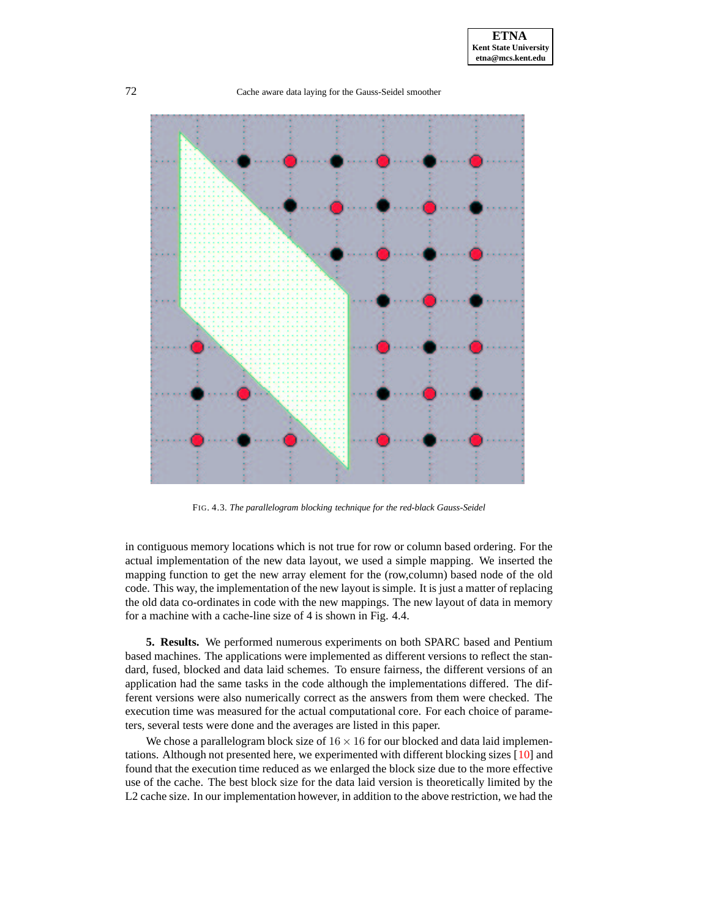

FIG. 4.3. *The parallelogram blocking technique for the red-black Gauss-Seidel*

in contiguous memory locations which is not true for row or column based ordering. For the actual implementation of the new data layout, we used a simple mapping. We inserted the mapping function to get the new array element for the (row,column) based node of the old code. This way, the implementation of the new layout is simple. It is just a matter of replacing the old data co-ordinates in code with the new mappings. The new layout of data in memory for a machine with a cache-line size of 4 is shown in Fig. 4.4.

**5. Results.** We performed numerous experiments on both SPARC based and Pentium based machines. The applications were implemented as different versions to reflect the standard, fused, blocked and data laid schemes. To ensure fairness, the different versions of an application had the same tasks in the code although the implementations differed. The different versions were also numerically correct as the answers from them were checked. The execution time was measured for the actual computational core. For each choice of parameters, several tests were done and the averages are listed in this paper.

We chose a parallelogram block size of  $16 \times 16$  for our blocked and data laid implementations. Although not presented here, we experimented with different blocking sizes [\[10\]](#page-11-11) and found that the execution time reduced as we enlarged the block size due to the more effective use of the cache. The best block size for the data laid version is theoretically limited by the L2 cache size. In our implementation however, in addition to the above restriction, we had the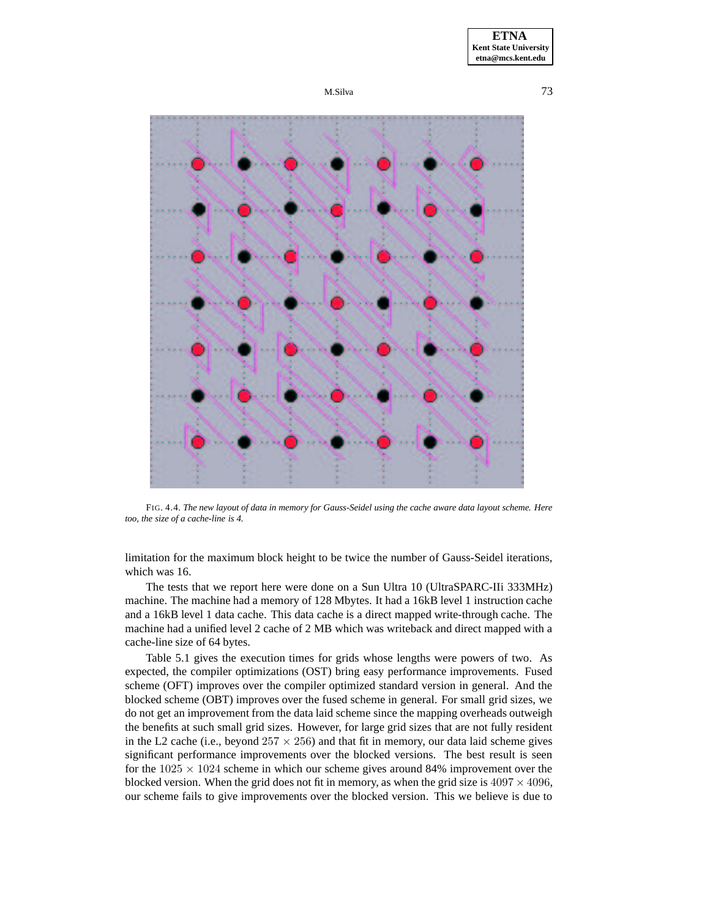





FIG. 4.4. The new layout of data in memory for Gauss-Seidel using the cache aware data layout scheme. Here *too, the size of a cache-line is 4.*

limitation for the maximum block height to be twice the number of Gauss-Seidel iterations, which was 16.

The tests that we report here were done on a Sun Ultra 10 (UltraSPARC-IIi 333MHz) machine. The machine had a memory of 128 Mbytes. It had a 16kB level 1 instruction cache and a 16kB level 1 data cache. This data cache is a direct mapped write-through cache. The machine had a unified level 2 cache of 2 MB which was writeback and direct mapped with a cache-line size of 64 bytes.

Table 5.1 gives the execution times for grids whose lengths were powers of two. As expected, the compiler optimizations (OST) bring easy performance improvements. Fused scheme (OFT) improves over the compiler optimized standard version in general. And the blocked scheme (OBT) improves over the fused scheme in general. For small grid sizes, we do not get an improvement from the data laid scheme since the mapping overheads outweigh the benefits at such small grid sizes. However, for large grid sizes that are not fully resident in the L2 cache (i.e., beyond  $257 \times 256$ ) and that fit in memory, our data laid scheme gives significant performance improvements over the blocked versions. The best result is seen for the  $1025 \times 1024$  scheme in which our scheme gives around 84% improvement over the blocked version. When the grid does not fit in memory, as when the grid size is  $4097 \times 4096$ , our scheme fails to give improvements over the blocked version. This we believe is due to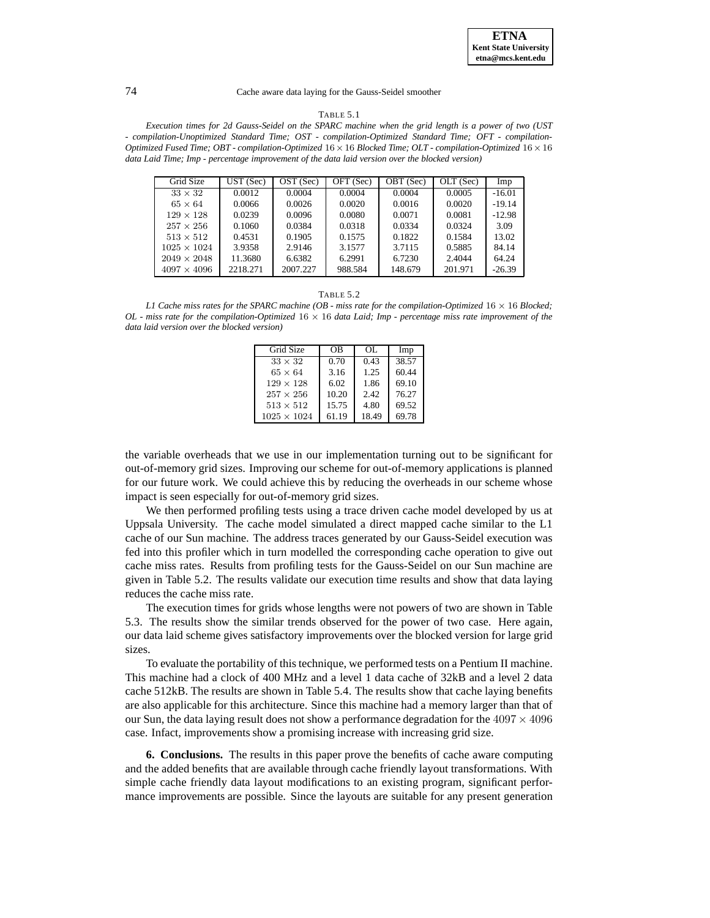#### TABLE 5.1

Execution times for 2d Gauss-Seidel on the SPARC machine when the grid length is a power of two (UST *- compilation-Unoptimized Standard Time; OST - compilation-Optimized Standard Time; OFT - compilation-Optimized Fused Time; OBT - compilation-Optimized* 16×16 *Blocked Time; OLT - compilation-Optimized* 16×16 *data Laid Time; Imp - percentage improvement of the data laid version over the blocked version)*

| Grid Size          | UST(Sec) | OST (Sec) | OFT (Sec) | OBT (Sec) | OLT (Sec) | Imp      |
|--------------------|----------|-----------|-----------|-----------|-----------|----------|
| $33 \times 32$     | 0.0012   | 0.0004    | 0.0004    | 0.0004    | 0.0005    | $-16.01$ |
| $65 \times 64$     | 0.0066   | 0.0026    | 0.0020    | 0.0016    | 0.0020    | $-19.14$ |
| $129 \times 128$   | 0.0239   | 0.0096    | 0.0080    | 0.0071    | 0.0081    | $-12.98$ |
| $257 \times 256$   | 0.1060   | 0.0384    | 0.0318    | 0.0334    | 0.0324    | 3.09     |
| $513 \times 512$   | 0.4531   | 0.1905    | 0.1575    | 0.1822    | 0.1584    | 13.02    |
| $1025 \times 1024$ | 3.9358   | 2.9146    | 3.1577    | 3.7115    | 0.5885    | 84.14    |
| $2049 \times 2048$ | 11.3680  | 6.6382    | 6.2991    | 6.7230    | 2.4044    | 64.24    |
| $4097 \times 4096$ | 2218.271 | 2007.227  | 988.584   | 148.679   | 201.971   | $-26.39$ |

#### TABLE 5.2

*L1 Cache miss rates for the SPARC machine (OB - miss rate for the compilation-Optimized* 16 × 16 *Blocked;* OL - miss rate for the compilation-Optimized  $16 \times 16$  data Laid; Imp - percentage miss rate improvement of the *data laid version over the blocked version)*

| Grid Size          | OΒ    | OL.   | Imp   |
|--------------------|-------|-------|-------|
| $33 \times 32$     | 0.70  | 0.43  | 38.57 |
| $65 \times 64$     | 3.16  | 1.25  | 60.44 |
| $129 \times 128$   | 6.02  | 1.86  | 69.10 |
| $257 \times 256$   | 10.20 | 2.42  | 76.27 |
| $513 \times 512$   | 15.75 | 4.80  | 69.52 |
| $1025 \times 1024$ | 61.19 | 18.49 | 69.78 |

the variable overheads that we use in our implementation turning out to be significant for out-of-memory grid sizes. Improving our scheme for out-of-memory applications is planned for our future work. We could achieve this by reducing the overheads in our scheme whose impact is seen especially for out-of-memory grid sizes.

We then performed profiling tests using a trace driven cache model developed by us at Uppsala University. The cache model simulated a direct mapped cache similar to the L1 cache of our Sun machine. The address traces generated by our Gauss-Seidel execution was fed into this profiler which in turn modelled the corresponding cache operation to give out cache miss rates. Results from profiling tests for the Gauss-Seidel on our Sun machine are given in Table 5.2. The results validate our execution time results and show that data laying reduces the cache miss rate.

The execution times for grids whose lengths were not powers of two are shown in Table 5.3. The results show the similar trends observed for the power of two case. Here again, our data laid scheme gives satisfactory improvements over the blocked version for large grid sizes.

To evaluate the portability of this technique, we performed tests on a Pentium II machine. This machine had a clock of 400 MHz and a level 1 data cache of 32kB and a level 2 data cache 512kB. The results are shown in Table 5.4. The results show that cache laying benefits are also applicable for this architecture. Since this machine had a memory larger than that of our Sun, the data laying result does not show a performance degradation for the  $4097 \times 4096$ case. Infact, improvements show a promising increase with increasing grid size.

**6. Conclusions.** The results in this paper prove the benefits of cache aware computing and the added benefits that are available through cache friendly layout transformations. With simple cache friendly data layout modifications to an existing program, significant performance improvements are possible. Since the layouts are suitable for any present generation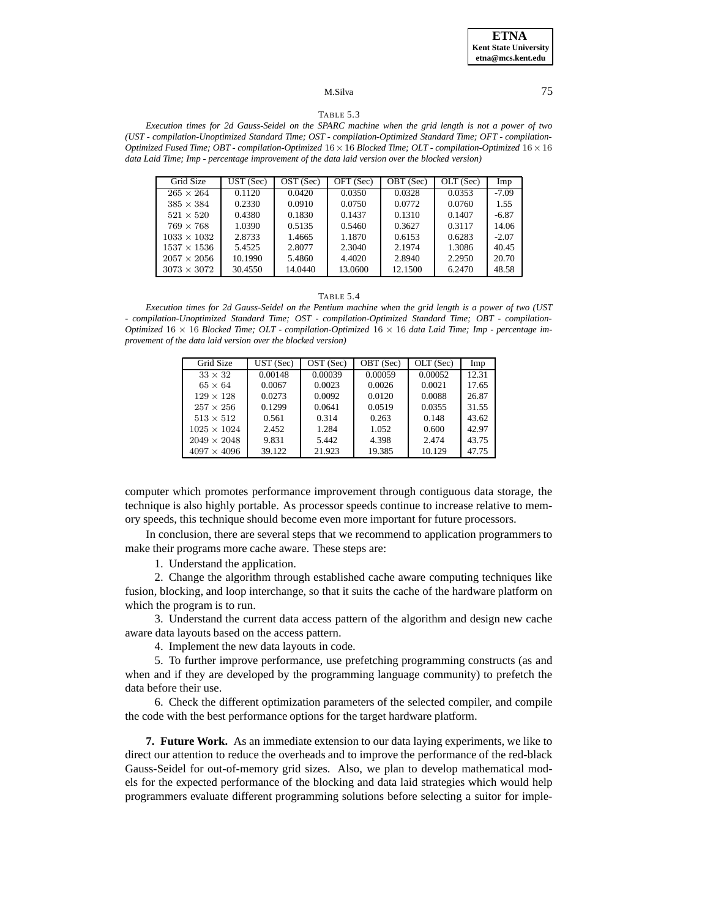## M.Silva 75

### TABLE 5.3

Execution times for 2d Gauss-Seidel on the SPARC machine when the grid length is not a power of two *(UST - compilation-Unoptimized Standard Time; OST - compilation-Optimized Standard Time; OFT - compilation-Optimized Fused Time; OBT - compilation-Optimized* 16×16 *Blocked Time; OLT - compilation-Optimized* 16×16 *data Laid Time; Imp - percentage improvement of the data laid version over the blocked version)*

| Grid Size          | UST(Sec) | OST (Sec) | OFT (Sec) | OBT (Sec) | OLT (Sec) | Imp     |
|--------------------|----------|-----------|-----------|-----------|-----------|---------|
| $265 \times 264$   | 0.1120   | 0.0420    | 0.0350    | 0.0328    | 0.0353    | $-7.09$ |
| $385 \times 384$   | 0.2330   | 0.0910    | 0.0750    | 0.0772    | 0.0760    | 1.55    |
| $521 \times 520$   | 0.4380   | 0.1830    | 0.1437    | 0.1310    | 0.1407    | $-6.87$ |
| $769 \times 768$   | 1.0390   | 0.5135    | 0.5460    | 0.3627    | 0.3117    | 14.06   |
| $1033 \times 1032$ | 2.8733   | 1.4665    | 1.1870    | 0.6153    | 0.6283    | $-2.07$ |
| $1537 \times 1536$ | 5.4525   | 2.8077    | 2.3040    | 2.1974    | 1.3086    | 40.45   |
| $2057 \times 2056$ | 10.1990  | 5.4860    | 4.4020    | 2.8940    | 2.2950    | 20.70   |
| $3073 \times 3072$ | 30.4550  | 14.0440   | 13.0600   | 12.1500   | 6.2470    | 48.58   |

#### TABLE 5.4

Execution times for 2d Gauss-Seidel on the Pentium machine when the grid length is a power of two (UST *- compilation-Unoptimized Standard Time; OST - compilation-Optimized Standard Time; OBT - compilation-Optimized*  $16 \times 16$  *Blocked Time; OLT - compilation-Optimized*  $16 \times 16$  *data Laid Time; Imp - percentage improvement of the data laid version over the blocked version)*

| Grid Size          | UST(Sec) | OST (Sec) | OBT (Sec) | OLT (Sec) | Imp   |
|--------------------|----------|-----------|-----------|-----------|-------|
| $33 \times 32$     | 0.00148  | 0.00039   | 0.00059   | 0.00052   | 12.31 |
| $65 \times 64$     | 0.0067   | 0.0023    | 0.0026    | 0.0021    | 17.65 |
| $129 \times 128$   | 0.0273   | 0.0092    | 0.0120    | 0.0088    | 26.87 |
| $257 \times 256$   | 0.1299   | 0.0641    | 0.0519    | 0.0355    | 31.55 |
| $513 \times 512$   | 0.561    | 0.314     | 0.263     | 0.148     | 43.62 |
| $1025 \times 1024$ | 2.452    | 1.284     | 1.052     | 0.600     | 42.97 |
| $2049 \times 2048$ | 9.831    | 5.442     | 4.398     | 2.474     | 43.75 |
| $4097 \times 4096$ | 39.122   | 21.923    | 19.385    | 10.129    | 47.75 |

computer which promotes performance improvement through contiguous data storage, the technique is also highly portable. As processor speeds continue to increase relative to memory speeds, this technique should become even more important for future processors.

In conclusion, there are several steps that we recommend to application programmers to make their programs more cache aware. These steps are:

1. Understand the application.

2. Change the algorithm through established cache aware computing techniques like fusion, blocking, and loop interchange, so that it suits the cache of the hardware platform on which the program is to run.

3. Understand the current data access pattern of the algorithm and design new cache aware data layouts based on the access pattern.

4. Implement the new data layouts in code.

5. To further improve performance, use prefetching programming constructs (as and when and if they are developed by the programming language community) to prefetch the data before their use.

6. Check the different optimization parameters of the selected compiler, and compile the code with the best performance options for the target hardware platform.

**7. Future Work.** As an immediate extension to our data laying experiments, we like to direct our attention to reduce the overheads and to improve the performance of the red-black Gauss-Seidel for out-of-memory grid sizes. Also, we plan to develop mathematical models for the expected performance of the blocking and data laid strategies which would help programmers evaluate different programming solutions before selecting a suitor for imple-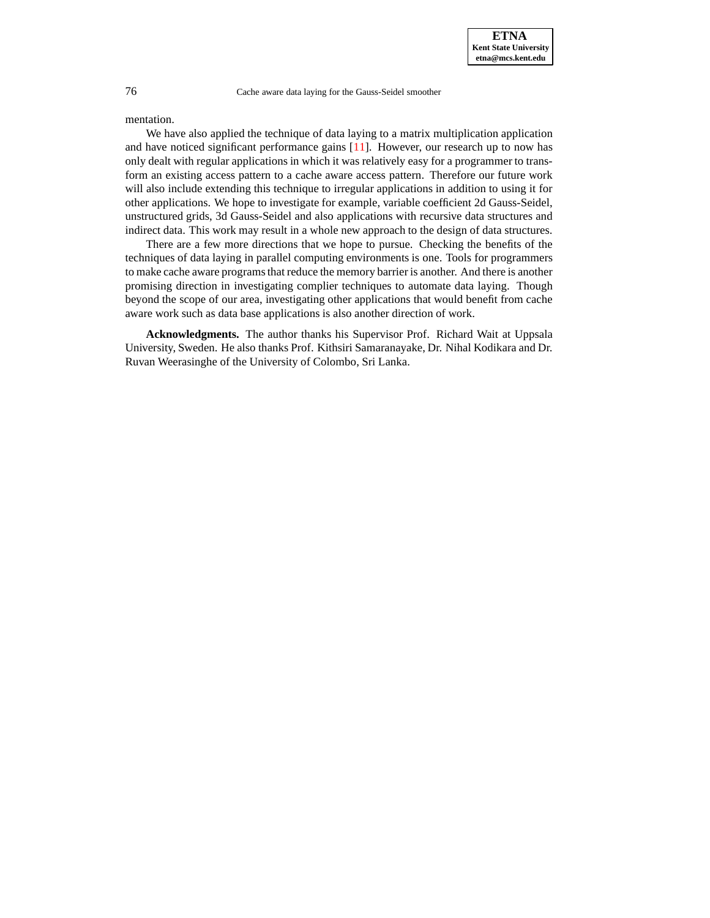mentation.

We have also applied the technique of data laying to a matrix multiplication application and have noticed significant performance gains [\[11\]](#page-11-5). However, our research up to now has only dealt with regular applications in which it was relatively easy for a programmer to transform an existing access pattern to a cache aware access pattern. Therefore our future work will also include extending this technique to irregular applications in addition to using it for other applications. We hope to investigate for example, variable coefficient 2d Gauss-Seidel, unstructured grids, 3d Gauss-Seidel and also applications with recursive data structures and indirect data. This work may result in a whole new approach to the design of data structures.

There are a few more directions that we hope to pursue. Checking the benefits of the techniques of data laying in parallel computing environments is one. Tools for programmers to make cache aware programsthat reduce the memory barrier is another. And there is another promising direction in investigating complier techniques to automate data laying. Though beyond the scope of our area, investigating other applications that would benefit from cache aware work such as data base applications is also another direction of work.

**Acknowledgments.** The author thanks his Supervisor Prof. Richard Wait at Uppsala University, Sweden. He also thanks Prof. Kithsiri Samaranayake, Dr. Nihal Kodikara and Dr. Ruvan Weerasinghe of the University of Colombo, Sri Lanka.